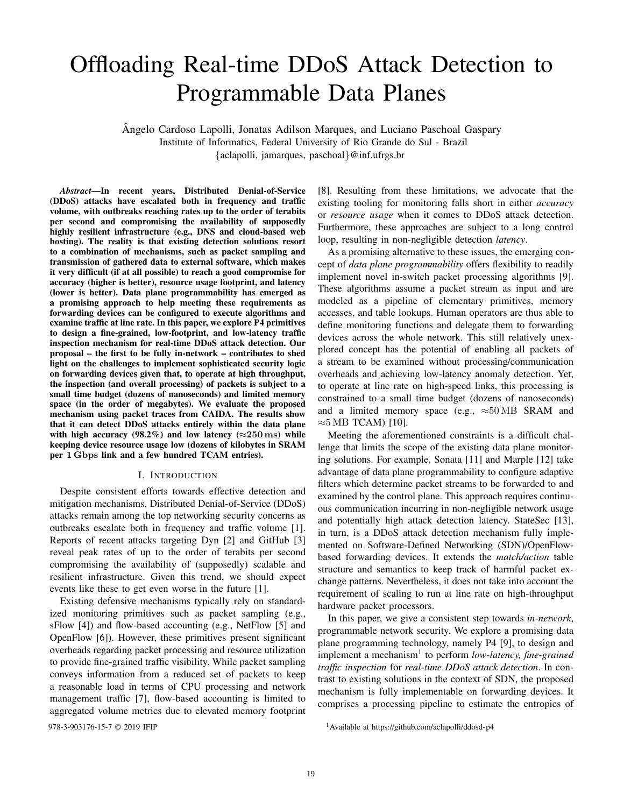# Offloading Real-time DDoS Attack Detection to Programmable Data Planes

Angelo Cardoso Lapolli, Jonatas Adilson Marques, and Luciano Paschoal Gaspary ˆ Institute of Informatics, Federal University of Rio Grande do Sul - Brazil {aclapolli, jamarques, paschoal}@inf.ufrgs.br

*Abstract*—In recent years, Distributed Denial-of-Service (DDoS) attacks have escalated both in frequency and traffic volume, with outbreaks reaching rates up to the order of terabits per second and compromising the availability of supposedly highly resilient infrastructure (e.g., DNS and cloud-based web hosting). The reality is that existing detection solutions resort to a combination of mechanisms, such as packet sampling and transmission of gathered data to external software, which makes it very difficult (if at all possible) to reach a good compromise for accuracy (higher is better), resource usage footprint, and latency (lower is better). Data plane programmability has emerged as a promising approach to help meeting these requirements as forwarding devices can be configured to execute algorithms and examine traffic at line rate. In this paper, we explore P4 primitives to design a fine-grained, low-footprint, and low-latency traffic inspection mechanism for real-time DDoS attack detection. Our proposal – the first to be fully in-network – contributes to shed light on the challenges to implement sophisticated security logic on forwarding devices given that, to operate at high throughput, the inspection (and overall processing) of packets is subject to a small time budget (dozens of nanoseconds) and limited memory space (in the order of megabytes). We evaluate the proposed mechanism using packet traces from CAIDA. The results show that it can detect DDoS attacks entirely within the data plane with high accuracy (98.2%) and low latency ( $\approx$ 250 ms) while keeping device resource usage low (dozens of kilobytes in SRAM per 1 Gbps link and a few hundred TCAM entries).

#### I. INTRODUCTION

Despite consistent efforts towards effective detection and mitigation mechanisms, Distributed Denial-of-Service (DDoS) attacks remain among the top networking security concerns as outbreaks escalate both in frequency and traffic volume [1]. Reports of recent attacks targeting Dyn [2] and GitHub [3] reveal peak rates of up to the order of terabits per second compromising the availability of (supposedly) scalable and resilient infrastructure. Given this trend, we should expect events like these to get even worse in the future [1].

Existing defensive mechanisms typically rely on standardized monitoring primitives such as packet sampling (e.g., sFlow [4]) and flow-based accounting (e.g., NetFlow [5] and OpenFlow [6]). However, these primitives present significant overheads regarding packet processing and resource utilization to provide fine-grained traffic visibility. While packet sampling conveys information from a reduced set of packets to keep a reasonable load in terms of CPU processing and network management traffic [7], flow-based accounting is limited to aggregated volume metrics due to elevated memory footprint

[8]. Resulting from these limitations, we advocate that the existing tooling for monitoring falls short in either *accuracy* or *resource usage* when it comes to DDoS attack detection. Furthermore, these approaches are subject to a long control loop, resulting in non-negligible detection *latency*.

As a promising alternative to these issues, the emerging concept of *data plane programmability* offers flexibility to readily implement novel in-switch packet processing algorithms [9]. These algorithms assume a packet stream as input and are modeled as a pipeline of elementary primitives, memory accesses, and table lookups. Human operators are thus able to define monitoring functions and delegate them to forwarding devices across the whole network. This still relatively unexplored concept has the potential of enabling all packets of a stream to be examined without processing/communication overheads and achieving low-latency anomaly detection. Yet, to operate at line rate on high-speed links, this processing is constrained to a small time budget (dozens of nanoseconds) and a limited memory space (e.g.,  $\approx 50 \text{ MB}$  SRAM and  $\approx$ 5 MB TCAM) [10].

Meeting the aforementioned constraints is a difficult challenge that limits the scope of the existing data plane monitoring solutions. For example, Sonata [11] and Marple [12] take advantage of data plane programmability to configure adaptive filters which determine packet streams to be forwarded to and examined by the control plane. This approach requires continuous communication incurring in non-negligible network usage and potentially high attack detection latency. StateSec [13], in turn, is a DDoS attack detection mechanism fully implemented on Software-Defined Networking (SDN)/OpenFlowbased forwarding devices. It extends the *match/action* table structure and semantics to keep track of harmful packet exchange patterns. Nevertheless, it does not take into account the requirement of scaling to run at line rate on high-throughput hardware packet processors.

In this paper, we give a consistent step towards *in-network*, programmable network security. We explore a promising data plane programming technology, namely P4 [9], to design and implement a mechanism<sup>1</sup> to perform *low-latency, fine-grained traffic inspection* for *real-time DDoS attack detection*. In contrast to existing solutions in the context of SDN, the proposed mechanism is fully implementable on forwarding devices. It comprises a processing pipeline to estimate the entropies of

978-3-903176-15-7 © 2019 IFIP 1Available at https://github.com/aclapolli/ddosd-p4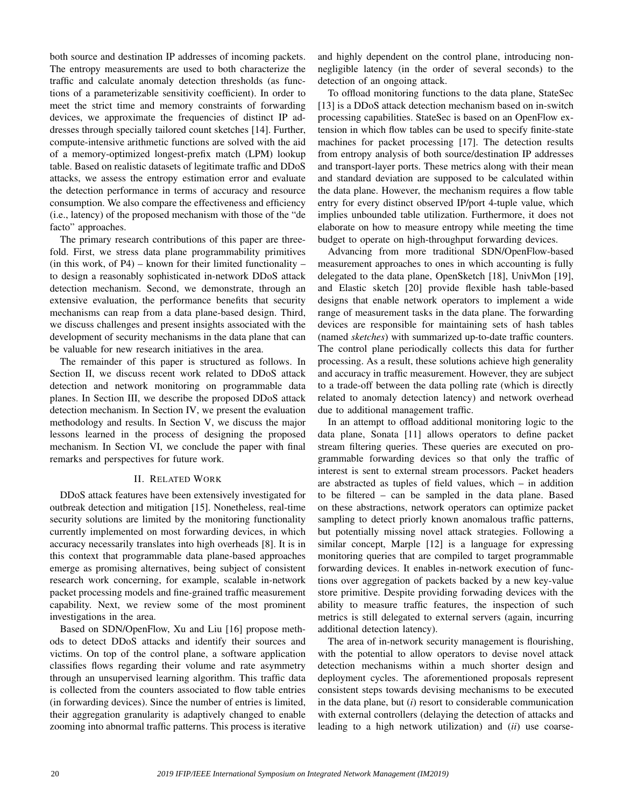both source and destination IP addresses of incoming packets. The entropy measurements are used to both characterize the traffic and calculate anomaly detection thresholds (as functions of a parameterizable sensitivity coefficient). In order to meet the strict time and memory constraints of forwarding devices, we approximate the frequencies of distinct IP addresses through specially tailored count sketches [14]. Further, compute-intensive arithmetic functions are solved with the aid of a memory-optimized longest-prefix match (LPM) lookup table. Based on realistic datasets of legitimate traffic and DDoS attacks, we assess the entropy estimation error and evaluate the detection performance in terms of accuracy and resource consumption. We also compare the effectiveness and efficiency (i.e., latency) of the proposed mechanism with those of the "de facto" approaches.

The primary research contributions of this paper are threefold. First, we stress data plane programmability primitives (in this work, of  $P4$ ) – known for their limited functionality – to design a reasonably sophisticated in-network DDoS attack detection mechanism. Second, we demonstrate, through an extensive evaluation, the performance benefits that security mechanisms can reap from a data plane-based design. Third, we discuss challenges and present insights associated with the development of security mechanisms in the data plane that can be valuable for new research initiatives in the area.

The remainder of this paper is structured as follows. In Section II, we discuss recent work related to DDoS attack detection and network monitoring on programmable data planes. In Section III, we describe the proposed DDoS attack detection mechanism. In Section IV, we present the evaluation methodology and results. In Section V, we discuss the major lessons learned in the process of designing the proposed mechanism. In Section VI, we conclude the paper with final remarks and perspectives for future work.

# II. RELATED WORK

DDoS attack features have been extensively investigated for outbreak detection and mitigation [15]. Nonetheless, real-time security solutions are limited by the monitoring functionality currently implemented on most forwarding devices, in which accuracy necessarily translates into high overheads [8]. It is in this context that programmable data plane-based approaches emerge as promising alternatives, being subject of consistent research work concerning, for example, scalable in-network packet processing models and fine-grained traffic measurement capability. Next, we review some of the most prominent investigations in the area.

Based on SDN/OpenFlow, Xu and Liu [16] propose methods to detect DDoS attacks and identify their sources and victims. On top of the control plane, a software application classifies flows regarding their volume and rate asymmetry through an unsupervised learning algorithm. This traffic data is collected from the counters associated to flow table entries (in forwarding devices). Since the number of entries is limited, their aggregation granularity is adaptively changed to enable zooming into abnormal traffic patterns. This process is iterative and highly dependent on the control plane, introducing nonnegligible latency (in the order of several seconds) to the detection of an ongoing attack.

To offload monitoring functions to the data plane, StateSec [13] is a DDoS attack detection mechanism based on in-switch processing capabilities. StateSec is based on an OpenFlow extension in which flow tables can be used to specify finite-state machines for packet processing [17]. The detection results from entropy analysis of both source/destination IP addresses and transport-layer ports. These metrics along with their mean and standard deviation are supposed to be calculated within the data plane. However, the mechanism requires a flow table entry for every distinct observed IP/port 4-tuple value, which implies unbounded table utilization. Furthermore, it does not elaborate on how to measure entropy while meeting the time budget to operate on high-throughput forwarding devices.

Advancing from more traditional SDN/OpenFlow-based measurement approaches to ones in which accounting is fully delegated to the data plane, OpenSketch [18], UnivMon [19], and Elastic sketch [20] provide flexible hash table-based designs that enable network operators to implement a wide range of measurement tasks in the data plane. The forwarding devices are responsible for maintaining sets of hash tables (named *sketches*) with summarized up-to-date traffic counters. The control plane periodically collects this data for further processing. As a result, these solutions achieve high generality and accuracy in traffic measurement. However, they are subject to a trade-off between the data polling rate (which is directly related to anomaly detection latency) and network overhead due to additional management traffic.

In an attempt to offload additional monitoring logic to the data plane, Sonata [11] allows operators to define packet stream filtering queries. These queries are executed on programmable forwarding devices so that only the traffic of interest is sent to external stream processors. Packet headers are abstracted as tuples of field values, which – in addition to be filtered – can be sampled in the data plane. Based on these abstractions, network operators can optimize packet sampling to detect priorly known anomalous traffic patterns, but potentially missing novel attack strategies. Following a similar concept, Marple [12] is a language for expressing monitoring queries that are compiled to target programmable forwarding devices. It enables in-network execution of functions over aggregation of packets backed by a new key-value store primitive. Despite providing forwading devices with the ability to measure traffic features, the inspection of such metrics is still delegated to external servers (again, incurring additional detection latency).

The area of in-network security management is flourishing, with the potential to allow operators to devise novel attack detection mechanisms within a much shorter design and deployment cycles. The aforementioned proposals represent consistent steps towards devising mechanisms to be executed in the data plane, but (*i*) resort to considerable communication with external controllers (delaying the detection of attacks and leading to a high network utilization) and (*ii*) use coarse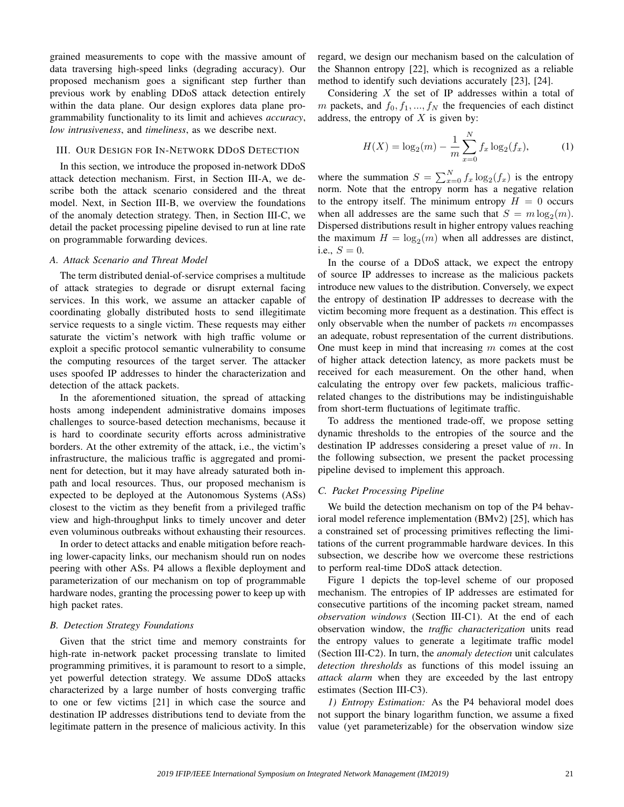grained measurements to cope with the massive amount of data traversing high-speed links (degrading accuracy). Our proposed mechanism goes a significant step further than previous work by enabling DDoS attack detection entirely within the data plane. Our design explores data plane programmability functionality to its limit and achieves *accuracy*, *low intrusiveness*, and *timeliness*, as we describe next.

## III. OUR DESIGN FOR IN-NETWORK DDOS DETECTION

In this section, we introduce the proposed in-network DDoS attack detection mechanism. First, in Section III-A, we describe both the attack scenario considered and the threat model. Next, in Section III-B, we overview the foundations of the anomaly detection strategy. Then, in Section III-C, we detail the packet processing pipeline devised to run at line rate on programmable forwarding devices.

#### *A. Attack Scenario and Threat Model*

The term distributed denial-of-service comprises a multitude of attack strategies to degrade or disrupt external facing services. In this work, we assume an attacker capable of coordinating globally distributed hosts to send illegitimate service requests to a single victim. These requests may either saturate the victim's network with high traffic volume or exploit a specific protocol semantic vulnerability to consume the computing resources of the target server. The attacker uses spoofed IP addresses to hinder the characterization and detection of the attack packets.

In the aforementioned situation, the spread of attacking hosts among independent administrative domains imposes challenges to source-based detection mechanisms, because it is hard to coordinate security efforts across administrative borders. At the other extremity of the attack, i.e., the victim's infrastructure, the malicious traffic is aggregated and prominent for detection, but it may have already saturated both inpath and local resources. Thus, our proposed mechanism is expected to be deployed at the Autonomous Systems (ASs) closest to the victim as they benefit from a privileged traffic view and high-throughput links to timely uncover and deter even voluminous outbreaks without exhausting their resources.

In order to detect attacks and enable mitigation before reaching lower-capacity links, our mechanism should run on nodes peering with other ASs. P4 allows a flexible deployment and parameterization of our mechanism on top of programmable hardware nodes, granting the processing power to keep up with high packet rates.

## *B. Detection Strategy Foundations*

Given that the strict time and memory constraints for high-rate in-network packet processing translate to limited programming primitives, it is paramount to resort to a simple, yet powerful detection strategy. We assume DDoS attacks characterized by a large number of hosts converging traffic to one or few victims [21] in which case the source and destination IP addresses distributions tend to deviate from the legitimate pattern in the presence of malicious activity. In this regard, we design our mechanism based on the calculation of the Shannon entropy [22], which is recognized as a reliable method to identify such deviations accurately [23], [24].

Considering  $X$  the set of IP addresses within a total of m packets, and  $f_0, f_1, ..., f_N$  the frequencies of each distinct address, the entropy of  $X$  is given by:

$$
H(X) = \log_2(m) - \frac{1}{m} \sum_{x=0}^{N} f_x \log_2(f_x),
$$
 (1)

where the summation  $S = \sum_{x=0}^{N} f_x \log_2(f_x)$  is the entropy norm. Note that the entropy norm has a negative relation to the entropy itself. The minimum entropy  $H = 0$  occurs when all addresses are the same such that  $S = m \log_2(m)$ . Dispersed distributions result in higher entropy values reaching the maximum  $H = \log_2(m)$  when all addresses are distinct, i.e.,  $S = 0$ .

In the course of a DDoS attack, we expect the entropy of source IP addresses to increase as the malicious packets introduce new values to the distribution. Conversely, we expect the entropy of destination IP addresses to decrease with the victim becoming more frequent as a destination. This effect is only observable when the number of packets  $m$  encompasses an adequate, robust representation of the current distributions. One must keep in mind that increasing  $m$  comes at the cost of higher attack detection latency, as more packets must be received for each measurement. On the other hand, when calculating the entropy over few packets, malicious trafficrelated changes to the distributions may be indistinguishable from short-term fluctuations of legitimate traffic.

To address the mentioned trade-off, we propose setting dynamic thresholds to the entropies of the source and the destination IP addresses considering a preset value of m. In the following subsection, we present the packet processing pipeline devised to implement this approach.

#### *C. Packet Processing Pipeline*

We build the detection mechanism on top of the P4 behavioral model reference implementation (BMv2) [25], which has a constrained set of processing primitives reflecting the limitations of the current programmable hardware devices. In this subsection, we describe how we overcome these restrictions to perform real-time DDoS attack detection.

Figure 1 depicts the top-level scheme of our proposed mechanism. The entropies of IP addresses are estimated for consecutive partitions of the incoming packet stream, named *observation windows* (Section III-C1). At the end of each observation window, the *traffic characterization* units read the entropy values to generate a legitimate traffic model (Section III-C2). In turn, the *anomaly detection* unit calculates *detection thresholds* as functions of this model issuing an *attack alarm* when they are exceeded by the last entropy estimates (Section III-C3).

*1) Entropy Estimation:* As the P4 behavioral model does not support the binary logarithm function, we assume a fixed value (yet parameterizable) for the observation window size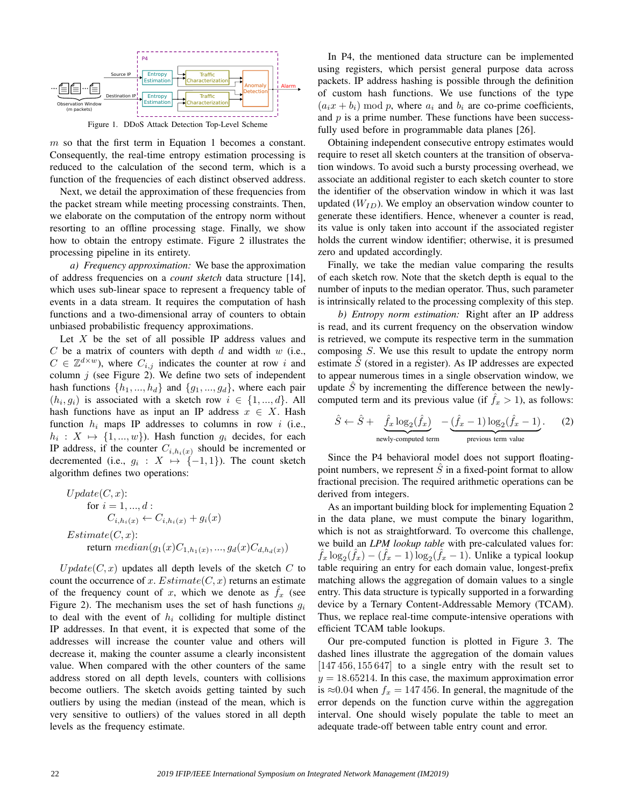

Figure 1. DDoS Attack Detection Top-Level Scheme

 $m$  so that the first term in Equation 1 becomes a constant. Consequently, the real-time entropy estimation processing is reduced to the calculation of the second term, which is a function of the frequencies of each distinct observed address.

Next, we detail the approximation of these frequencies from the packet stream while meeting processing constraints. Then, we elaborate on the computation of the entropy norm without resorting to an offline processing stage. Finally, we show how to obtain the entropy estimate. Figure 2 illustrates the processing pipeline in its entirety.

*a) Frequency approximation:* We base the approximation of address frequencies on a *count sketch* data structure [14], which uses sub-linear space to represent a frequency table of events in a data stream. It requires the computation of hash functions and a two-dimensional array of counters to obtain unbiased probabilistic frequency approximations.

Let  $X$  be the set of all possible IP address values and  $C$  be a matrix of counters with depth  $d$  and width  $w$  (i.e.,  $C \in \mathbb{Z}^{d \times w}$ ), where  $C_{i,j}$  indicates the counter at row i and column  $j$  (see Figure 2). We define two sets of independent hash functions  $\{h_1, ..., h_d\}$  and  $\{g_1, ..., g_d\}$ , where each pair  $(h_i, g_i)$  is associated with a sketch row  $i \in \{1, ..., d\}$ . All hash functions have as input an IP address  $x \in X$ . Hash function  $h_i$  maps IP addresses to columns in row i (i.e.,  $h_i: X \mapsto \{1, ..., w\}$ . Hash function  $g_i$  decides, for each IP address, if the counter  $C_{i,h_i(x)}$  should be incremented or decremented (i.e.,  $g_i : X \mapsto \{-1, 1\}$ ). The count sketch algorithm defines two operations:

$$
Update(C, x):
$$
  
for  $i = 1, ..., d$ :  

$$
C_{i,h_i(x)} \leftarrow C_{i,h_i(x)} + g_i(x)
$$
  
Estimate(C, x):  
return median(g<sub>1</sub>(x)C<sub>1,h<sub>1</sub>(x), ..., g<sub>d</sub>(x)C<sub>d,h<sub>d</sub>(x)</sub>)</sub>

 $Update(C, x)$  updates all depth levels of the sketch C to count the occurrence of x. Estimate  $(C, x)$  returns an estimate of the frequency count of x, which we denote as  $f_x$  (see Figure 2). The mechanism uses the set of hash functions  $g_i$ to deal with the event of  $h_i$  colliding for multiple distinct IP addresses. In that event, it is expected that some of the addresses will increase the counter value and others will decrease it, making the counter assume a clearly inconsistent value. When compared with the other counters of the same address stored on all depth levels, counters with collisions become outliers. The sketch avoids getting tainted by such outliers by using the median (instead of the mean, which is very sensitive to outliers) of the values stored in all depth levels as the frequency estimate.

In P4, the mentioned data structure can be implemented using registers, which persist general purpose data across packets. IP address hashing is possible through the definition of custom hash functions. We use functions of the type  $(a_i x + b_i) \bmod p$ , where  $a_i$  and  $b_i$  are co-prime coefficients, and  $p$  is a prime number. These functions have been successfully used before in programmable data planes [26].

Obtaining independent consecutive entropy estimates would require to reset all sketch counters at the transition of observation windows. To avoid such a bursty processing overhead, we associate an additional register to each sketch counter to store the identifier of the observation window in which it was last updated  $(W_{ID})$ . We employ an observation window counter to generate these identifiers. Hence, whenever a counter is read, its value is only taken into account if the associated register holds the current window identifier; otherwise, it is presumed zero and updated accordingly.

Finally, we take the median value comparing the results of each sketch row. Note that the sketch depth is equal to the number of inputs to the median operator. Thus, such parameter is intrinsically related to the processing complexity of this step.

*b) Entropy norm estimation:* Right after an IP address is read, and its current frequency on the observation window is retrieved, we compute its respective term in the summation composing S. We use this result to update the entropy norm estimate  $\tilde{S}$  (stored in a register). As IP addresses are expected to appear numerous times in a single observation window, we update  $\tilde{S}$  by incrementing the difference between the newlycomputed term and its previous value (if  $f_x > 1$ ), as follows:

$$
\hat{S} \leftarrow \hat{S} + \underbrace{\hat{f}_x \log_2(\hat{f}_x)}_{\text{newly-computed term}} - \underbrace{(\hat{f}_x - 1) \log_2(\hat{f}_x - 1)}_{\text{previous term value}}.
$$
 (2)

Since the P4 behavioral model does not support floatingpoint numbers, we represent  $\ddot{S}$  in a fixed-point format to allow fractional precision. The required arithmetic operations can be derived from integers.

As an important building block for implementing Equation 2 in the data plane, we must compute the binary logarithm, which is not as straightforward. To overcome this challenge, we build an *LPM lookup table* with pre-calculated values for:  $\hat{f}_x \log_2(\hat{f}_x) - (\hat{f}_x - 1) \log_2(\hat{f}_x - 1)$ . Unlike a typical lookup table requiring an entry for each domain value, longest-prefix matching allows the aggregation of domain values to a single entry. This data structure is typically supported in a forwarding device by a Ternary Content-Addressable Memory (TCAM). Thus, we replace real-time compute-intensive operations with efficient TCAM table lookups.

Our pre-computed function is plotted in Figure 3. The dashed lines illustrate the aggregation of the domain values  $[147 456, 155 647]$  to a single entry with the result set to  $y = 18.65214$ . In this case, the maximum approximation error is  $\approx 0.04$  when  $f_x = 147 456$ . In general, the magnitude of the error depends on the function curve within the aggregation interval. One should wisely populate the table to meet an adequate trade-off between table entry count and error.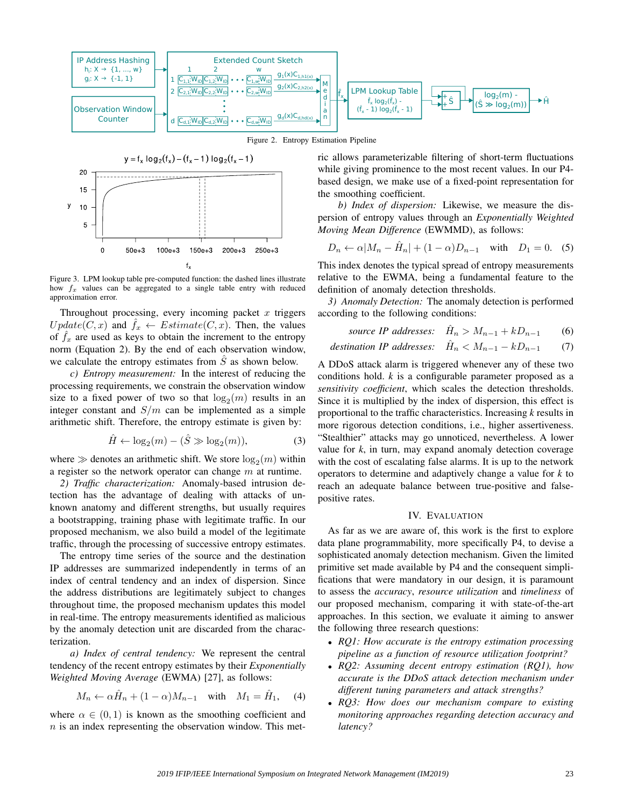

 $y = f_x \log_2(f_x) - (f_x - 1) \log_2(f_x - 1)$ 20 15  $10$ 5  $\Omega$  $50e + 3$  $100e + 3$  $150e + 3$  $200e + 3$  $250e + 3$  $\mathsf{f}_{\mathsf{x}}$ 

y

Figure 3. LPM lookup table pre-computed function: the dashed lines illustrate how  $f_x$  values can be aggregated to a single table entry with reduced approximation error.

Throughout processing, every incoming packet  $x$  triggers  $Update(C, x)$  and  $f_x \leftarrow Estimate(C, x)$ . Then, the values of  $f_x$  are used as keys to obtain the increment to the entropy norm (Equation 2). By the end of each observation window, we calculate the entropy estimates from  $\ddot{S}$  as shown below.

*c) Entropy measurement:* In the interest of reducing the processing requirements, we constrain the observation window size to a fixed power of two so that  $log_2(m)$  results in an integer constant and  $S/m$  can be implemented as a simple arithmetic shift. Therefore, the entropy estimate is given by:

$$
\hat{H} \leftarrow \log_2(m) - (\hat{S} \gg \log_2(m)),\tag{3}
$$

where  $\gg$  denotes an arithmetic shift. We store  $\log_2(m)$  within a register so the network operator can change  $m$  at runtime.

*2) Traffic characterization:* Anomaly-based intrusion detection has the advantage of dealing with attacks of unknown anatomy and different strengths, but usually requires a bootstrapping, training phase with legitimate traffic. In our proposed mechanism, we also build a model of the legitimate traffic, through the processing of successive entropy estimates.

The entropy time series of the source and the destination IP addresses are summarized independently in terms of an index of central tendency and an index of dispersion. Since the address distributions are legitimately subject to changes throughout time, the proposed mechanism updates this model in real-time. The entropy measurements identified as malicious by the anomaly detection unit are discarded from the characterization.

*a) Index of central tendency:* We represent the central tendency of the recent entropy estimates by their *Exponentially Weighted Moving Average* (EWMA) [27], as follows:

$$
M_n \leftarrow \alpha \hat{H}_n + (1 - \alpha) M_{n-1} \quad \text{with} \quad M_1 = \hat{H}_1,\tag{4}
$$

where  $\alpha \in (0,1)$  is known as the smoothing coefficient and  $n$  is an index representing the observation window. This metric allows parameterizable filtering of short-term fluctuations while giving prominence to the most recent values. In our P4 based design, we make use of a fixed-point representation for the smoothing coefficient.

*b) Index of dispersion:* Likewise, we measure the dispersion of entropy values through an *Exponentially Weighted Moving Mean Difference* (EWMMD), as follows:

$$
D_n \leftarrow \alpha |M_n - \hat{H}_n| + (1 - \alpha)D_{n-1} \quad \text{with} \quad D_1 = 0. \tag{5}
$$

This index denotes the typical spread of entropy measurements relative to the EWMA, being a fundamental feature to the definition of anomaly detection thresholds.

*3) Anomaly Detection:* The anomaly detection is performed according to the following conditions:

*source IP addresses:* 
$$
\hat{H}_n > M_{n-1} + kD_{n-1}
$$
 (6)

*destination IP addresses:* 
$$
\hat{H}_n < M_{n-1} - kD_{n-1} \tag{7}
$$

A DDoS attack alarm is triggered whenever any of these two conditions hold. *k* is a configurable parameter proposed as a *sensitivity coefficient*, which scales the detection thresholds. Since it is multiplied by the index of dispersion, this effect is proportional to the traffic characteristics. Increasing *k* results in more rigorous detection conditions, i.e., higher assertiveness. "Stealthier" attacks may go unnoticed, nevertheless. A lower value for *k*, in turn, may expand anomaly detection coverage with the cost of escalating false alarms. It is up to the network operators to determine and adaptively change a value for *k* to reach an adequate balance between true-positive and falsepositive rates.

# IV. EVALUATION

As far as we are aware of, this work is the first to explore data plane programmability, more specifically P4, to devise a sophisticated anomaly detection mechanism. Given the limited primitive set made available by P4 and the consequent simplifications that were mandatory in our design, it is paramount to assess the *accuracy*, *resource utilization* and *timeliness* of our proposed mechanism, comparing it with state-of-the-art approaches. In this section, we evaluate it aiming to answer the following three research questions:

- *RQ1: How accurate is the entropy estimation processing pipeline as a function of resource utilization footprint?*
- *RQ2: Assuming decent entropy estimation (RQ1), how accurate is the DDoS attack detection mechanism under different tuning parameters and attack strengths?*
- *RQ3: How does our mechanism compare to existing monitoring approaches regarding detection accuracy and latency?*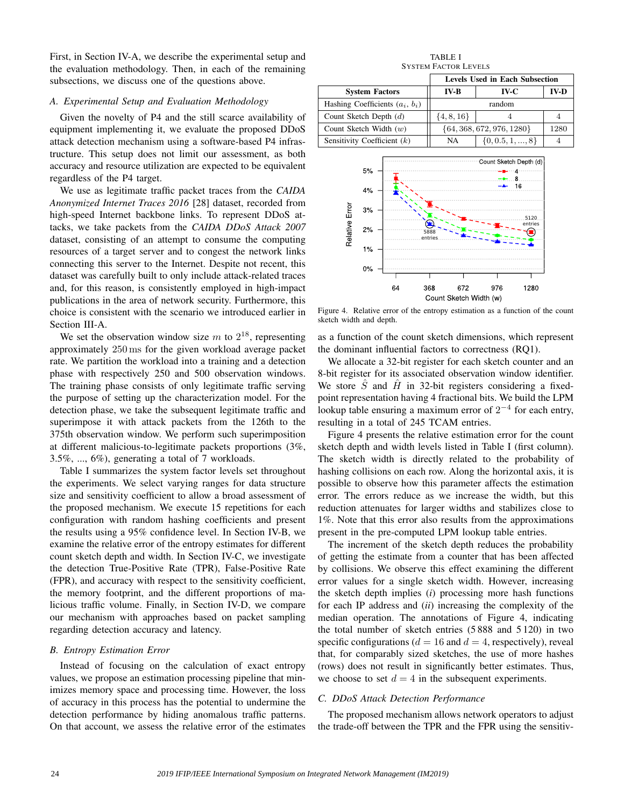First, in Section IV-A, we describe the experimental setup and the evaluation methodology. Then, in each of the remaining subsections, we discuss one of the questions above.

## *A. Experimental Setup and Evaluation Methodology*

Given the novelty of P4 and the still scarce availability of equipment implementing it, we evaluate the proposed DDoS attack detection mechanism using a software-based P4 infrastructure. This setup does not limit our assessment, as both accuracy and resource utilization are expected to be equivalent regardless of the P4 target.

We use as legitimate traffic packet traces from the *CAIDA Anonymized Internet Traces 2016* [28] dataset, recorded from high-speed Internet backbone links. To represent DDoS attacks, we take packets from the *CAIDA DDoS Attack 2007* dataset, consisting of an attempt to consume the computing resources of a target server and to congest the network links connecting this server to the Internet. Despite not recent, this dataset was carefully built to only include attack-related traces and, for this reason, is consistently employed in high-impact publications in the area of network security. Furthermore, this choice is consistent with the scenario we introduced earlier in Section III-A.

We set the observation window size m to  $2^{18}$ , representing approximately 250 ms for the given workload average packet rate. We partition the workload into a training and a detection phase with respectively 250 and 500 observation windows. The training phase consists of only legitimate traffic serving the purpose of setting up the characterization model. For the detection phase, we take the subsequent legitimate traffic and superimpose it with attack packets from the 126th to the 375th observation window. We perform such superimposition at different malicious-to-legitimate packets proportions (3%, 3.5%, ..., 6%), generating a total of 7 workloads.

Table I summarizes the system factor levels set throughout the experiments. We select varying ranges for data structure size and sensitivity coefficient to allow a broad assessment of the proposed mechanism. We execute 15 repetitions for each configuration with random hashing coefficients and present the results using a 95% confidence level. In Section IV-B, we examine the relative error of the entropy estimates for different count sketch depth and width. In Section IV-C, we investigate the detection True-Positive Rate (TPR), False-Positive Rate (FPR), and accuracy with respect to the sensitivity coefficient, the memory footprint, and the different proportions of malicious traffic volume. Finally, in Section IV-D, we compare our mechanism with approaches based on packet sampling regarding detection accuracy and latency.

#### *B. Entropy Estimation Error*

Instead of focusing on the calculation of exact entropy values, we propose an estimation processing pipeline that minimizes memory space and processing time. However, the loss of accuracy in this process has the potential to undermine the detection performance by hiding anomalous traffic patterns. On that account, we assess the relative error of the estimates

TABLE I SYSTEM FACTOR LEVELS

|                                   | <b>Levels Used in Each Subsection</b> |                      |             |
|-----------------------------------|---------------------------------------|----------------------|-------------|
| <b>System Factors</b>             | <b>IV-B</b>                           | IV-C                 | <b>IV-D</b> |
| Hashing Coefficients $(a_i, b_i)$ | random                                |                      |             |
| Count Sketch Depth $(d)$          | $\{4, 8, 16\}$                        |                      |             |
| Count Sketch Width $(w)$          | $\{64, 368, 672, 976, 1280\}$         |                      | 1280        |
| Sensitivity Coefficient $(k)$     | NA                                    | $\{0, 0.5, 1, , 8\}$ |             |



Figure 4. Relative error of the entropy estimation as a function of the count sketch width and depth.

as a function of the count sketch dimensions, which represent the dominant influential factors to correctness (RQ1).

We allocate a 32-bit register for each sketch counter and an 8-bit register for its associated observation window identifier. We store  $\hat{S}$  and  $\hat{H}$  in 32-bit registers considering a fixedpoint representation having 4 fractional bits. We build the LPM lookup table ensuring a maximum error of  $2^{-4}$  for each entry, resulting in a total of 245 TCAM entries.

Figure 4 presents the relative estimation error for the count sketch depth and width levels listed in Table I (first column). The sketch width is directly related to the probability of hashing collisions on each row. Along the horizontal axis, it is possible to observe how this parameter affects the estimation error. The errors reduce as we increase the width, but this reduction attenuates for larger widths and stabilizes close to 1%. Note that this error also results from the approximations present in the pre-computed LPM lookup table entries.

The increment of the sketch depth reduces the probability of getting the estimate from a counter that has been affected by collisions. We observe this effect examining the different error values for a single sketch width. However, increasing the sketch depth implies (*i*) processing more hash functions for each IP address and (*ii*) increasing the complexity of the median operation. The annotations of Figure 4, indicating the total number of sketch entries (5 888 and 5 120) in two specific configurations ( $d = 16$  and  $d = 4$ , respectively), reveal that, for comparably sized sketches, the use of more hashes (rows) does not result in significantly better estimates. Thus, we choose to set  $d = 4$  in the subsequent experiments.

## *C. DDoS Attack Detection Performance*

The proposed mechanism allows network operators to adjust the trade-off between the TPR and the FPR using the sensitiv-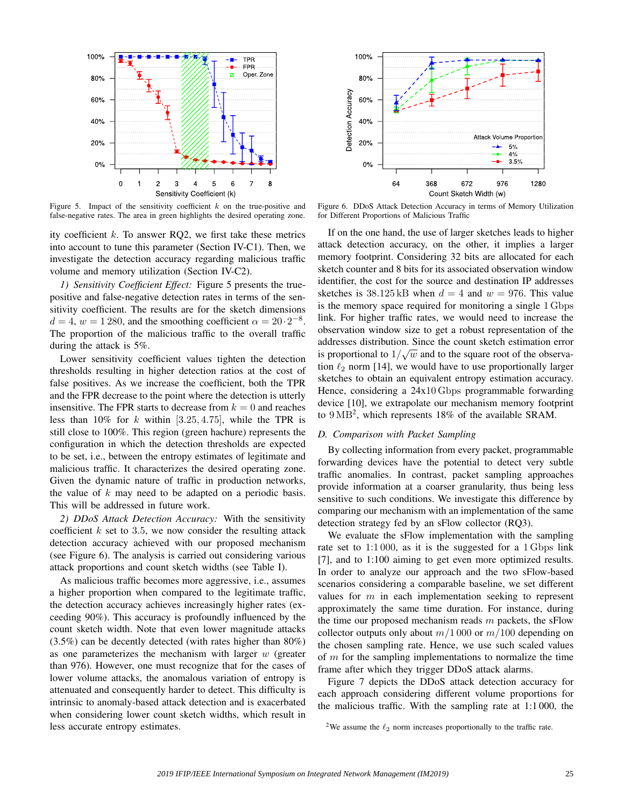

Figure 5. Impact of the sensitivity coefficient  $k$  on the true-positive and false-negative rates. The area in green highlights the desired operating zone.

ity coefficient  $k$ . To answer RQ2, we first take these metrics into account to tune this parameter (Section IV-C1). Then, we investigate the detection accuracy regarding malicious traffic volume and memory utilization (Section IV-C2).

*1) Sensitivity Coefficient Effect:* Figure 5 presents the truepositive and false-negative detection rates in terms of the sensitivity coefficient. The results are for the sketch dimensions  $d = 4$ ,  $w = 1280$ , and the smoothing coefficient  $\alpha = 20 \cdot 2^{-8}$ . The proportion of the malicious traffic to the overall traffic during the attack is 5%.

Lower sensitivity coefficient values tighten the detection thresholds resulting in higher detection ratios at the cost of false positives. As we increase the coefficient, both the TPR and the FPR decrease to the point where the detection is utterly insensitive. The FPR starts to decrease from  $k = 0$  and reaches less than 10% for k within [3.25, 4.75], while the TPR is still close to 100%. This region (green hachure) represents the configuration in which the detection thresholds are expected to be set, i.e., between the entropy estimates of legitimate and malicious traffic. It characterizes the desired operating zone. Given the dynamic nature of traffic in production networks, the value of  $k$  may need to be adapted on a periodic basis. This will be addressed in future work.

*2) DDoS Attack Detection Accuracy:* With the sensitivity coefficient  $k$  set to 3.5, we now consider the resulting attack detection accuracy achieved with our proposed mechanism (see Figure 6). The analysis is carried out considering various attack proportions and count sketch widths (see Table I).

As malicious traffic becomes more aggressive, i.e., assumes a higher proportion when compared to the legitimate traffic, the detection accuracy achieves increasingly higher rates (exceeding 90%). This accuracy is profoundly influenced by the count sketch width. Note that even lower magnitude attacks (3.5%) can be decently detected (with rates higher than 80%) as one parameterizes the mechanism with larger  $w$  (greater than 976). However, one must recognize that for the cases of lower volume attacks, the anomalous variation of entropy is attenuated and consequently harder to detect. This difficulty is intrinsic to anomaly-based attack detection and is exacerbated when considering lower count sketch widths, which result in less accurate entropy estimates.



Figure 6. DDoS Attack Detection Accuracy in terms of Memory Utilization for Different Proportions of Malicious Traffic

If on the one hand, the use of larger sketches leads to higher attack detection accuracy, on the other, it implies a larger memory footprint. Considering 32 bits are allocated for each sketch counter and 8 bits for its associated observation window identifier, the cost for the source and destination IP addresses sketches is  $38.125$  kB when  $d = 4$  and  $w = 976$ . This value is the memory space required for monitoring a single 1 Gbps link. For higher traffic rates, we would need to increase the observation window size to get a robust representation of the addresses distribution. Since the count sketch estimation error √ is proportional to  $1/\sqrt{w}$  and to the square root of the observation  $\ell_2$  norm [14], we would have to use proportionally larger sketches to obtain an equivalent entropy estimation accuracy. Hence, considering a 24x10 Gbps programmable forwarding device [10], we extrapolate our mechanism memory footprint to  $9 \text{ MB}^2$ , which represents 18% of the available SRAM.

### *D. Comparison with Packet Sampling*

By collecting information from every packet, programmable forwarding devices have the potential to detect very subtle traffic anomalies. In contrast, packet sampling approaches provide information at a coarser granularity, thus being less sensitive to such conditions. We investigate this difference by comparing our mechanism with an implementation of the same detection strategy fed by an sFlow collector (RQ3).

We evaluate the sFlow implementation with the sampling rate set to 1:1000, as it is the suggested for a 1 Gbps link [7], and to 1:100 aiming to get even more optimized results. In order to analyze our approach and the two sFlow-based scenarios considering a comparable baseline, we set different values for  $m$  in each implementation seeking to represent approximately the same time duration. For instance, during the time our proposed mechanism reads  $m$  packets, the sFlow collector outputs only about  $m/1000$  or  $m/100$  depending on the chosen sampling rate. Hence, we use such scaled values of  $m$  for the sampling implementations to normalize the time frame after which they trigger DDoS attack alarms.

Figure 7 depicts the DDoS attack detection accuracy for each approach considering different volume proportions for the malicious traffic. With the sampling rate at 1:1 000, the

<sup>&</sup>lt;sup>2</sup>We assume the  $\ell_2$  norm increases proportionally to the traffic rate.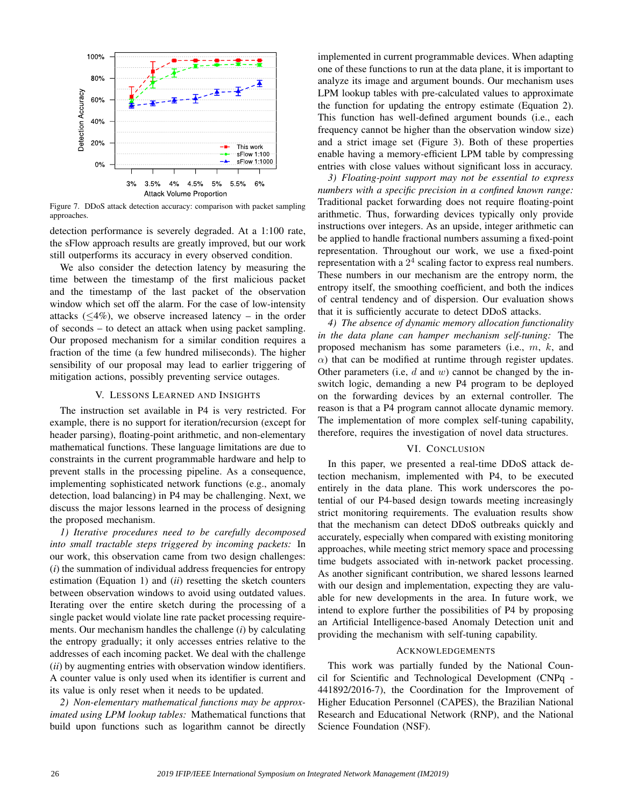

Figure 7. DDoS attack detection accuracy: comparison with packet sampling approaches.

detection performance is severely degraded. At a 1:100 rate, the sFlow approach results are greatly improved, but our work still outperforms its accuracy in every observed condition.

We also consider the detection latency by measuring the time between the timestamp of the first malicious packet and the timestamp of the last packet of the observation window which set off the alarm. For the case of low-intensity attacks  $(\leq 4\%)$ , we observe increased latency – in the order of seconds – to detect an attack when using packet sampling. Our proposed mechanism for a similar condition requires a fraction of the time (a few hundred miliseconds). The higher sensibility of our proposal may lead to earlier triggering of mitigation actions, possibly preventing service outages.

#### V. LESSONS LEARNED AND INSIGHTS

The instruction set available in P4 is very restricted. For example, there is no support for iteration/recursion (except for header parsing), floating-point arithmetic, and non-elementary mathematical functions. These language limitations are due to constraints in the current programmable hardware and help to prevent stalls in the processing pipeline. As a consequence, implementing sophisticated network functions (e.g., anomaly detection, load balancing) in P4 may be challenging. Next, we discuss the major lessons learned in the process of designing the proposed mechanism.

*1) Iterative procedures need to be carefully decomposed into small tractable steps triggered by incoming packets:* In our work, this observation came from two design challenges: (*i*) the summation of individual address frequencies for entropy estimation (Equation 1) and (*ii*) resetting the sketch counters between observation windows to avoid using outdated values. Iterating over the entire sketch during the processing of a single packet would violate line rate packet processing requirements. Our mechanism handles the challenge (*i*) by calculating the entropy gradually; it only accesses entries relative to the addresses of each incoming packet. We deal with the challenge (*ii*) by augmenting entries with observation window identifiers. A counter value is only used when its identifier is current and its value is only reset when it needs to be updated.

*2) Non-elementary mathematical functions may be approximated using LPM lookup tables:* Mathematical functions that build upon functions such as logarithm cannot be directly implemented in current programmable devices. When adapting one of these functions to run at the data plane, it is important to analyze its image and argument bounds. Our mechanism uses LPM lookup tables with pre-calculated values to approximate the function for updating the entropy estimate (Equation 2). This function has well-defined argument bounds (i.e., each frequency cannot be higher than the observation window size) and a strict image set (Figure 3). Both of these properties enable having a memory-efficient LPM table by compressing entries with close values without significant loss in accuracy.

*3) Floating-point support may not be essential to express numbers with a specific precision in a confined known range:* Traditional packet forwarding does not require floating-point arithmetic. Thus, forwarding devices typically only provide instructions over integers. As an upside, integer arithmetic can be applied to handle fractional numbers assuming a fixed-point representation. Throughout our work, we use a fixed-point representation with a  $2<sup>4</sup>$  scaling factor to express real numbers. These numbers in our mechanism are the entropy norm, the entropy itself, the smoothing coefficient, and both the indices of central tendency and of dispersion. Our evaluation shows that it is sufficiently accurate to detect DDoS attacks.

*4) The absence of dynamic memory allocation functionality in the data plane can hamper mechanism self-tuning:* The proposed mechanism has some parameters (i.e., m, k, and  $\alpha$ ) that can be modified at runtime through register updates. Other parameters (i.e,  $d$  and  $w$ ) cannot be changed by the inswitch logic, demanding a new P4 program to be deployed on the forwarding devices by an external controller. The reason is that a P4 program cannot allocate dynamic memory. The implementation of more complex self-tuning capability, therefore, requires the investigation of novel data structures.

# VI. CONCLUSION

In this paper, we presented a real-time DDoS attack detection mechanism, implemented with P4, to be executed entirely in the data plane. This work underscores the potential of our P4-based design towards meeting increasingly strict monitoring requirements. The evaluation results show that the mechanism can detect DDoS outbreaks quickly and accurately, especially when compared with existing monitoring approaches, while meeting strict memory space and processing time budgets associated with in-network packet processing. As another significant contribution, we shared lessons learned with our design and implementation, expecting they are valuable for new developments in the area. In future work, we intend to explore further the possibilities of P4 by proposing an Artificial Intelligence-based Anomaly Detection unit and providing the mechanism with self-tuning capability.

#### ACKNOWLEDGEMENTS

This work was partially funded by the National Council for Scientific and Technological Development (CNPq - 441892/2016-7), the Coordination for the Improvement of Higher Education Personnel (CAPES), the Brazilian National Research and Educational Network (RNP), and the National Science Foundation (NSF).